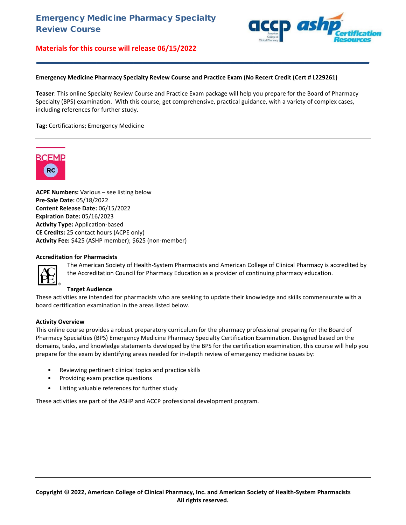

#### **Emergency Medicine Pharmacy Specialty Review Course and Practice Exam (No Recert Credit (Cert # L229261)**

**Teaser**: This online Specialty Review Course and Practice Exam package will help you prepare for the Board of Pharmacy Specialty (BPS) examination. With this course, get comprehensive, practical guidance, with a variety of complex cases, including references for further study.

**\_\_\_\_\_\_\_\_\_\_\_\_\_\_\_\_\_\_\_\_\_\_\_\_\_\_\_\_\_\_\_\_\_\_\_\_\_\_\_\_\_\_\_\_\_\_\_\_\_\_\_\_\_\_\_\_\_\_\_\_\_\_\_\_\_\_\_\_\_\_\_\_**

**Tag:** Certifications; Emergency Medicine



**ACPE Numbers:** Various – see listing below **Pre-Sale Date:** 05/18/2022 **Content Release Date:** 06/15/2022 **Expiration Date:** 05/16/2023 **Activity Type:** Application-based **CE Credits:** 25 contact hours (ACPE only) **Activity Fee:** \$425 (ASHP member); \$625 (non-member)

#### **Accreditation for Pharmacists**



The American Society of Health-System Pharmacists and American College of Clinical Pharmacy is accredited by the Accreditation Council for Pharmacy Education as a provider of continuing pharmacy education.

#### **Target Audience**

These activities are intended for pharmacists who are seeking to update their knowledge and skills commensurate with a board certification examination in the areas listed below.

#### **Activity Overview**

This online course provides a robust preparatory curriculum for the pharmacy professional preparing for the Board of Pharmacy Specialties (BPS) Emergency Medicine Pharmacy Specialty Certification Examination. Designed based on the domains, tasks, and knowledge statements developed by the BPS for the certification examination, this course will help you prepare for the exam by identifying areas needed for in-depth review of emergency medicine issues by:

- Reviewing pertinent clinical topics and practice skills
- Providing exam practice questions
- Listing valuable references for further study

These activities are part of the ASHP and ACCP professional development program.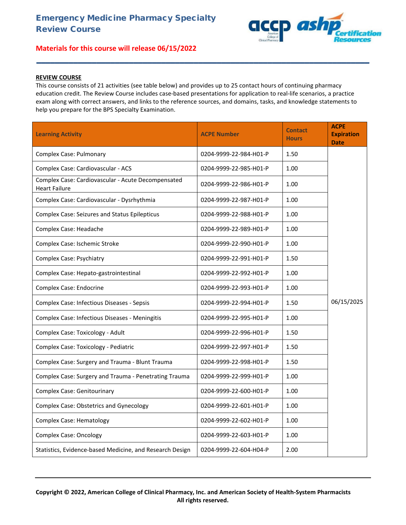

## **REVIEW COURSE**

This course consists of 21 activities (see table below) and provides up to 25 contact hours of continuing pharmacy education credit. The Review Course includes case-based presentations for application to real-life scenarios, a practice exam along with correct answers, and links to the reference sources, and domains, tasks, and knowledge statements to help you prepare for the BPS Specialty Examination.

**\_\_\_\_\_\_\_\_\_\_\_\_\_\_\_\_\_\_\_\_\_\_\_\_\_\_\_\_\_\_\_\_\_\_\_\_\_\_\_\_\_\_\_\_\_\_\_\_\_\_\_\_\_\_\_\_\_\_\_\_\_\_\_\_\_\_\_\_\_\_\_\_**

| <b>Learning Activity</b>                                                   | <b>ACPE Number</b>     | <b>Contact</b><br><b>Hours</b> | <b>ACPE</b><br><b>Expiration</b><br><b>Date</b> |
|----------------------------------------------------------------------------|------------------------|--------------------------------|-------------------------------------------------|
| <b>Complex Case: Pulmonary</b>                                             | 0204-9999-22-984-H01-P | 1.50                           |                                                 |
| Complex Case: Cardiovascular - ACS                                         | 0204-9999-22-985-H01-P | 1.00                           |                                                 |
| Complex Case: Cardiovascular - Acute Decompensated<br><b>Heart Failure</b> | 0204-9999-22-986-H01-P | 1.00                           |                                                 |
| Complex Case: Cardiovascular - Dysrhythmia                                 | 0204-9999-22-987-H01-P | 1.00                           |                                                 |
| <b>Complex Case: Seizures and Status Epilepticus</b>                       | 0204-9999-22-988-H01-P | 1.00                           |                                                 |
| Complex Case: Headache                                                     | 0204-9999-22-989-H01-P | 1.00                           |                                                 |
| Complex Case: Ischemic Stroke                                              | 0204-9999-22-990-H01-P | 1.00                           |                                                 |
| Complex Case: Psychiatry                                                   | 0204-9999-22-991-H01-P | 1.50                           |                                                 |
| Complex Case: Hepato-gastrointestinal                                      | 0204-9999-22-992-H01-P | 1.00                           |                                                 |
| <b>Complex Case: Endocrine</b>                                             | 0204-9999-22-993-H01-P | 1.00                           |                                                 |
| Complex Case: Infectious Diseases - Sepsis                                 | 0204-9999-22-994-H01-P | 1.50                           | 06/15/2025                                      |
| Complex Case: Infectious Diseases - Meningitis                             | 0204-9999-22-995-H01-P | 1.00                           |                                                 |
| Complex Case: Toxicology - Adult                                           | 0204-9999-22-996-H01-P | 1.50                           |                                                 |
| Complex Case: Toxicology - Pediatric                                       | 0204-9999-22-997-H01-P | 1.50                           |                                                 |
| Complex Case: Surgery and Trauma - Blunt Trauma                            | 0204-9999-22-998-H01-P | 1.50                           |                                                 |
| Complex Case: Surgery and Trauma - Penetrating Trauma                      | 0204-9999-22-999-H01-P | 1.00                           |                                                 |
| <b>Complex Case: Genitourinary</b>                                         | 0204-9999-22-600-H01-P | 1.00                           |                                                 |
| <b>Complex Case: Obstetrics and Gynecology</b>                             | 0204-9999-22-601-H01-P | 1.00                           |                                                 |
| <b>Complex Case: Hematology</b>                                            | 0204-9999-22-602-H01-P | 1.00                           |                                                 |
| <b>Complex Case: Oncology</b>                                              | 0204-9999-22-603-H01-P | 1.00                           |                                                 |
| Statistics, Evidence-based Medicine, and Research Design                   | 0204-9999-22-604-H04-P | 2.00                           |                                                 |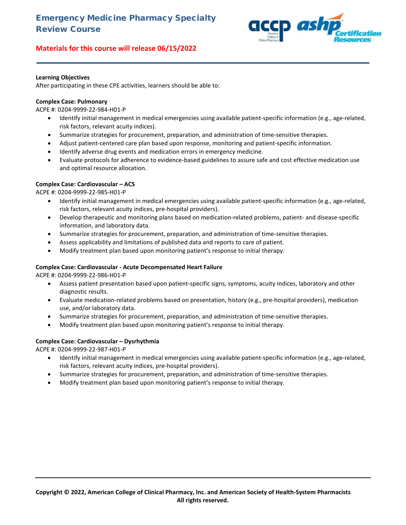

#### **Learning Objectives**

After participating in these CPE activities, learners should be able to:

#### **Complex Case: Pulmonary**

ACPE #: 0204-9999-22-984-H01-P

• Identify initial management in medical emergencies using available patient-specific information (e.g., age-related, risk factors, relevant acuity indices).

**\_\_\_\_\_\_\_\_\_\_\_\_\_\_\_\_\_\_\_\_\_\_\_\_\_\_\_\_\_\_\_\_\_\_\_\_\_\_\_\_\_\_\_\_\_\_\_\_\_\_\_\_\_\_\_\_\_\_\_\_\_\_\_\_\_\_\_\_\_\_\_\_**

- Summarize strategies for procurement, preparation, and administration of time-sensitive therapies.
- Adjust patient-centered care plan based upon response, monitoring and patient-specific information.
- Identify adverse drug events and medication errors in emergency medicine.
- Evaluate protocols for adherence to evidence-based guidelines to assure safe and cost effective medication use and optimal resource allocation.

#### **Complex Case: Cardiovascular – ACS**

ACPE #: 0204-9999-22-985-H01-P

- Identify initial management in medical emergencies using available patient-specific information (e.g., age-related, risk factors, relevant acuity indices, pre-hospital providers).
- Develop therapeutic and monitoring plans based on medication-related problems, patient- and disease-specific information, and laboratory data.
- Summarize strategies for procurement, preparation, and administration of time-sensitive therapies.
- Assess applicability and limitations of published data and reports to care of patient.
- Modify treatment plan based upon monitoring patient's response to initial therapy.

#### **Complex Case: Cardiovascular - Acute Decompensated Heart Failure**

ACPE #: 0204-9999-22-986-H01-P

- Assess patient presentation based upon patient-specific signs, symptoms, acuity indices, laboratory and other diagnostic results.
- Evaluate medication-related problems based on presentation, history (e.g., pre-hospital providers), medication use, and/or laboratory data.
- Summarize strategies for procurement, preparation, and administration of time-sensitive therapies.
- Modify treatment plan based upon monitoring patient's response to initial therapy.

#### **Complex Case: Cardiovascular – Dysrhythmia**

ACPE #: 0204-9999-22-987-H01-P

- Identify initial management in medical emergencies using available patient-specific information (e.g., age-related, risk factors, relevant acuity indices, pre-hospital providers).
- Summarize strategies for procurement, preparation, and administration of time-sensitive therapies.
- Modify treatment plan based upon monitoring patient's response to initial therapy.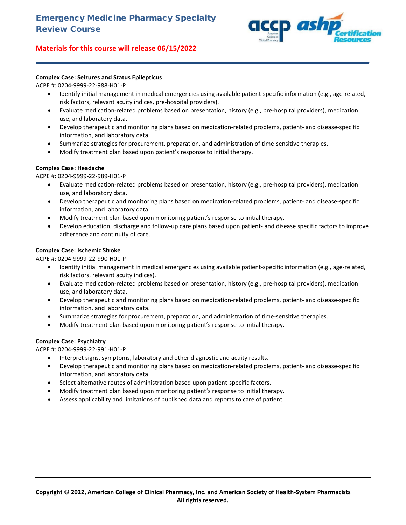

# **Complex Case: Seizures and Status Epilepticus**

ACPE #: 0204-9999-22-988-H01-P

• Identify initial management in medical emergencies using available patient-specific information (e.g., age-related, risk factors, relevant acuity indices, pre-hospital providers).

**\_\_\_\_\_\_\_\_\_\_\_\_\_\_\_\_\_\_\_\_\_\_\_\_\_\_\_\_\_\_\_\_\_\_\_\_\_\_\_\_\_\_\_\_\_\_\_\_\_\_\_\_\_\_\_\_\_\_\_\_\_\_\_\_\_\_\_\_\_\_\_\_**

- Evaluate medication-related problems based on presentation, history (e.g., pre-hospital providers), medication use, and laboratory data.
- Develop therapeutic and monitoring plans based on medication-related problems, patient- and disease-specific information, and laboratory data.
- Summarize strategies for procurement, preparation, and administration of time-sensitive therapies.
- Modify treatment plan based upon patient's response to initial therapy.

## **Complex Case: Headache**

ACPE #: 0204-9999-22-989-H01-P

- Evaluate medication-related problems based on presentation, history (e.g., pre-hospital providers), medication use, and laboratory data.
- Develop therapeutic and monitoring plans based on medication-related problems, patient- and disease-specific information, and laboratory data.
- Modify treatment plan based upon monitoring patient's response to initial therapy.
- Develop education, discharge and follow-up care plans based upon patient- and disease specific factors to improve adherence and continuity of care.

# **Complex Case: Ischemic Stroke**

ACPE #: 0204-9999-22-990-H01-P

- Identify initial management in medical emergencies using available patient-specific information (e.g., age-related, risk factors, relevant acuity indices).
- Evaluate medication-related problems based on presentation, history (e.g., pre-hospital providers), medication use, and laboratory data.
- Develop therapeutic and monitoring plans based on medication-related problems, patient- and disease-specific information, and laboratory data.
- Summarize strategies for procurement, preparation, and administration of time-sensitive therapies.
- Modify treatment plan based upon monitoring patient's response to initial therapy.

## **Complex Case: Psychiatry**

ACPE #: 0204-9999-22-991-H01-P

- Interpret signs, symptoms, laboratory and other diagnostic and acuity results.
- Develop therapeutic and monitoring plans based on medication-related problems, patient- and disease-specific information, and laboratory data.
- Select alternative routes of administration based upon patient-specific factors.
- Modify treatment plan based upon monitoring patient's response to initial therapy.
- Assess applicability and limitations of published data and reports to care of patient.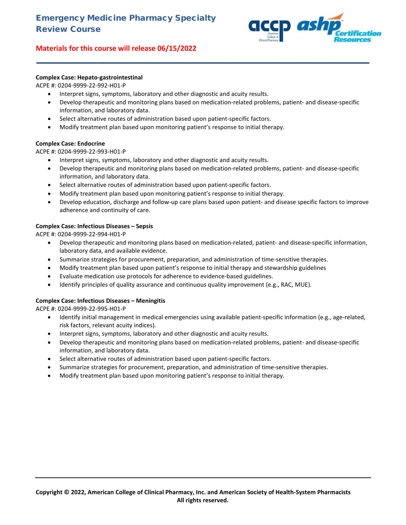

# **Complex Case: Hepato-gastrointestinal**

ACPE #: 0204-9999-22-992-H01-P

- Interpret signs, symptoms, laboratory and other diagnostic and acuity results.
- Develop therapeutic and monitoring plans based on medication-related problems, patient- and disease-specific information, and laboratory data.

**\_\_\_\_\_\_\_\_\_\_\_\_\_\_\_\_\_\_\_\_\_\_\_\_\_\_\_\_\_\_\_\_\_\_\_\_\_\_\_\_\_\_\_\_\_\_\_\_\_\_\_\_\_\_\_\_\_\_\_\_\_\_\_\_\_\_\_\_\_\_\_\_**

- Select alternative routes of administration based upon patient-specific factors.
- Modify treatment plan based upon monitoring patient's response to initial therapy.

## **Complex Case: Endocrine**

ACPE #: 0204-9999-22-993-H01-P

- Interpret signs, symptoms, laboratory and other diagnostic and acuity results.
- Develop therapeutic and monitoring plans based on medication-related problems, patient- and disease-specific information, and laboratory data.
- Select alternative routes of administration based upon patient-specific factors.
- Modify treatment plan based upon monitoring patient's response to initial therapy.
- Develop education, discharge and follow-up care plans based upon patient- and disease specific factors to improve adherence and continuity of care.

# **Complex Case: Infectious Diseases – Sepsis**

ACPE #: 0204-9999-22-994-H01-P

- Develop therapeutic and monitoring plans based on medication-related, patient- and disease-specific information, laboratory data, and available evidence.
- Summarize strategies for procurement, preparation, and administration of time-sensitive therapies.
- Modify treatment plan based upon patient's response to initial therapy and stewardship guidelines
- Evaluate medication use protocols for adherence to evidence-based guidelines.
- Identify principles of quality assurance and continuous quality improvement (e.g., RAC, MUE).

## **Complex Case: Infectious Diseases – Meningitis**

ACPE #: 0204-9999-22-995-H01-P

- Identify initial management in medical emergencies using available patient-specific information (e.g., age-related, risk factors, relevant acuity indices).
- Interpret signs, symptoms, laboratory and other diagnostic and acuity results.
- Develop therapeutic and monitoring plans based on medication-related problems, patient- and disease-specific information, and laboratory data.
- Select alternative routes of administration based upon patient-specific factors.
- Summarize strategies for procurement, preparation, and administration of time-sensitive therapies.
- Modify treatment plan based upon monitoring patient's response to initial therapy.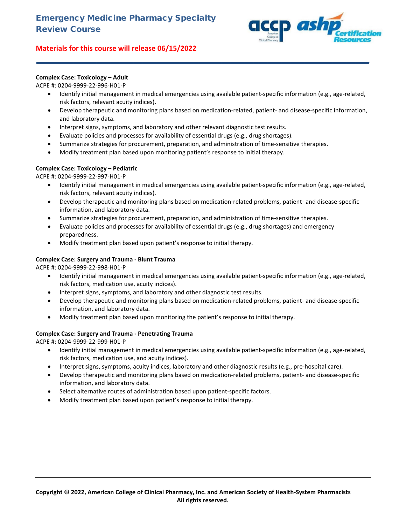

# **Complex Case: Toxicology – Adult**

ACPE #: 0204-9999-22-996-H01-P

• Identify initial management in medical emergencies using available patient-specific information (e.g., age-related, risk factors, relevant acuity indices).

**\_\_\_\_\_\_\_\_\_\_\_\_\_\_\_\_\_\_\_\_\_\_\_\_\_\_\_\_\_\_\_\_\_\_\_\_\_\_\_\_\_\_\_\_\_\_\_\_\_\_\_\_\_\_\_\_\_\_\_\_\_\_\_\_\_\_\_\_\_\_\_\_**

- Develop therapeutic and monitoring plans based on medication-related, patient- and disease-specific information, and laboratory data.
- Interpret signs, symptoms, and laboratory and other relevant diagnostic test results.
- Evaluate policies and processes for availability of essential drugs (e.g., drug shortages).
- Summarize strategies for procurement, preparation, and administration of time-sensitive therapies.
- Modify treatment plan based upon monitoring patient's response to initial therapy.

# **Complex Case: Toxicology – Pediatric**

ACPE #: 0204-9999-22-997-H01-P

- Identify initial management in medical emergencies using available patient-specific information (e.g., age-related, risk factors, relevant acuity indices).
- Develop therapeutic and monitoring plans based on medication-related problems, patient- and disease-specific information, and laboratory data.
- Summarize strategies for procurement, preparation, and administration of time-sensitive therapies.
- Evaluate policies and processes for availability of essential drugs (e.g., drug shortages) and emergency preparedness.
- Modify treatment plan based upon patient's response to initial therapy.

# **Complex Case: Surgery and Trauma - Blunt Trauma**

ACPE #: 0204-9999-22-998-H01-P

- Identify initial management in medical emergencies using available patient-specific information (e.g., age-related, risk factors, medication use, acuity indices).
- Interpret signs, symptoms, and laboratory and other diagnostic test results.
- Develop therapeutic and monitoring plans based on medication-related problems, patient- and disease-specific information, and laboratory data.
- Modify treatment plan based upon monitoring the patient's response to initial therapy.

## **Complex Case: Surgery and Trauma - Penetrating Trauma**

ACPE #: 0204-9999-22-999-H01-P

- Identify initial management in medical emergencies using available patient-specific information (e.g., age-related, risk factors, medication use, and acuity indices).
- Interpret signs, symptoms, acuity indices, laboratory and other diagnostic results (e.g., pre-hospital care).
- Develop therapeutic and monitoring plans based on medication-related problems, patient- and disease-specific information, and laboratory data.
- Select alternative routes of administration based upon patient-specific factors.
- Modify treatment plan based upon patient's response to initial therapy.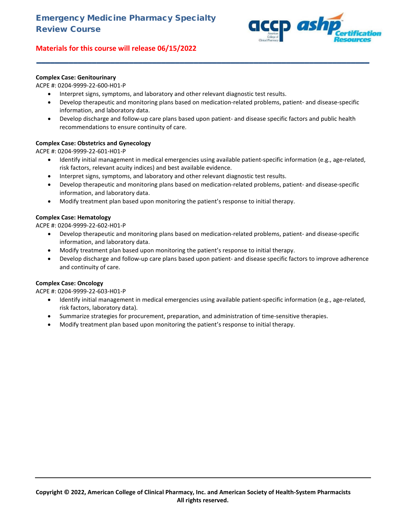

# **Complex Case: Genitourinary**

ACPE #: 0204-9999-22-600-H01-P

- Interpret signs, symptoms, and laboratory and other relevant diagnostic test results.
- Develop therapeutic and monitoring plans based on medication-related problems, patient- and disease-specific information, and laboratory data.

**\_\_\_\_\_\_\_\_\_\_\_\_\_\_\_\_\_\_\_\_\_\_\_\_\_\_\_\_\_\_\_\_\_\_\_\_\_\_\_\_\_\_\_\_\_\_\_\_\_\_\_\_\_\_\_\_\_\_\_\_\_\_\_\_\_\_\_\_\_\_\_\_**

• Develop discharge and follow-up care plans based upon patient- and disease specific factors and public health recommendations to ensure continuity of care.

# **Complex Case: Obstetrics and Gynecology**

ACPE #: 0204-9999-22-601-H01-P

- Identify initial management in medical emergencies using available patient-specific information (e.g., age-related, risk factors, relevant acuity indices) and best available evidence.
- Interpret signs, symptoms, and laboratory and other relevant diagnostic test results.
- Develop therapeutic and monitoring plans based on medication-related problems, patient- and disease-specific information, and laboratory data.
- Modify treatment plan based upon monitoring the patient's response to initial therapy.

# **Complex Case: Hematology**

ACPE #: 0204-9999-22-602-H01-P

- Develop therapeutic and monitoring plans based on medication-related problems, patient- and disease-specific information, and laboratory data.
- Modify treatment plan based upon monitoring the patient's response to initial therapy.
- Develop discharge and follow-up care plans based upon patient- and disease specific factors to improve adherence and continuity of care.

## **Complex Case: Oncology**

ACPE #: 0204-9999-22-603-H01-P

- Identify initial management in medical emergencies using available patient-specific information (e.g., age-related, risk factors, laboratory data).
- Summarize strategies for procurement, preparation, and administration of time-sensitive therapies.
- Modify treatment plan based upon monitoring the patient's response to initial therapy.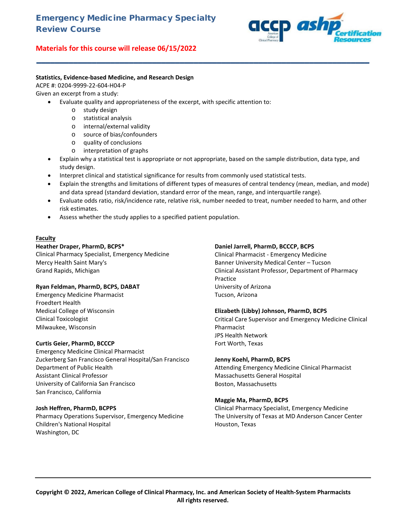# Emergency Medicine Pharmacy Specialty Review Course

# **Materials for this course will release 06/15/2022**



#### **Statistics, Evidence-based Medicine, and Research Design**

ACPE #: 0204-9999-22-604-H04-P

Given an excerpt from a study:

- Evaluate quality and appropriateness of the excerpt, with specific attention to:
	- o study design
	- o statistical analysis
	- o internal/external validity
	- o source of bias/confounders<br>o quality of conclusions
	- quality of conclusions
	- o interpretation of graphs
- Explain why a statistical test is appropriate or not appropriate, based on the sample distribution, data type, and study design.

**\_\_\_\_\_\_\_\_\_\_\_\_\_\_\_\_\_\_\_\_\_\_\_\_\_\_\_\_\_\_\_\_\_\_\_\_\_\_\_\_\_\_\_\_\_\_\_\_\_\_\_\_\_\_\_\_\_\_\_\_\_\_\_\_\_\_\_\_\_\_\_\_**

- Interpret clinical and statistical significance for results from commonly used statistical tests.
- Explain the strengths and limitations of different types of measures of central tendency (mean, median, and mode) and data spread (standard deviation, standard error of the mean, range, and interquartile range).
- Evaluate odds ratio, risk/incidence rate, relative risk, number needed to treat, number needed to harm, and other risk estimates.
- Assess whether the study applies to a specified patient population.

## **Faculty**

#### **Heather Draper, PharmD, BCPS\***

Clinical Pharmacy Specialist, Emergency Medicine Mercy Health Saint Mary's Grand Rapids, Michigan

## **Ryan Feldman, PharmD, BCPS, DABAT**

Emergency Medicine Pharmacist Froedtert Health Medical College of Wisconsin Clinical Toxicologist Milwaukee, Wisconsin

## **Curtis Geier, PharmD, BCCCP**

Emergency Medicine Clinical Pharmacist Zuckerberg San Francisco General Hospital/San Francisco Department of Public Health Assistant Clinical Professor University of California San Francisco San Francisco, California

## **Josh Heffren, PharmD, BCPPS**

Pharmacy Operations Supervisor, Emergency Medicine Children's National Hospital Washington, DC

#### **Daniel Jarrell, PharmD, BCCCP, BCPS**

Clinical Pharmacist - Emergency Medicine Banner University Medical Center – Tucson Clinical Assistant Professor, Department of Pharmacy Practice University of Arizona Tucson, Arizona

## **Elizabeth (Libby) Johnson, PharmD, BCPS**

Critical Care Supervisor and Emergency Medicine Clinical Pharmacist JPS Health Network Fort Worth, Texas

## **Jenny Koehl, PharmD, BCPS**

Attending Emergency Medicine Clinical Pharmacist Massachusetts General Hospital Boston, Massachusetts

## **Maggie Ma, PharmD, BCPS**

Clinical Pharmacy Specialist, Emergency Medicine The University of Texas at MD Anderson Cancer Center Houston, Texas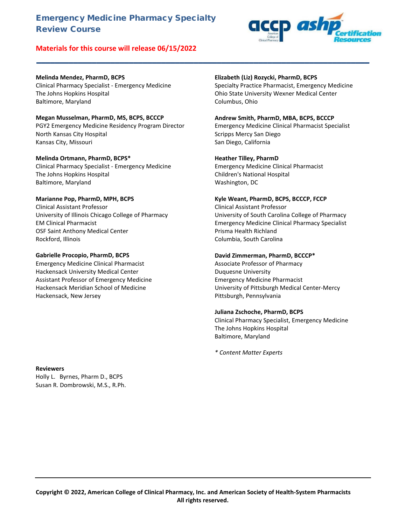# Emergency Medicine Pharmacy Specialty Review Course

# **Materials for this course will release 06/15/2022**



# **Melinda Mendez, PharmD, BCPS**

Clinical Pharmacy Specialist - Emergency Medicine The Johns Hopkins Hospital Baltimore, Maryland

# **Megan Musselman, PharmD, MS, BCPS, BCCCP**

PGY2 Emergency Medicine Residency Program Director North Kansas City Hospital Kansas City, Missouri

#### **Melinda Ortmann, PharmD, BCPS\***

Clinical Pharmacy Specialist - Emergency Medicine The Johns Hopkins Hospital Baltimore, Maryland

#### **Marianne Pop, PharmD, MPH, BCPS**

Clinical Assistant Professor University of Illinois Chicago College of Pharmacy EM Clinical Pharmacist OSF Saint Anthony Medical Center Rockford, Illinois

#### **Gabrielle Procopio, PharmD, BCPS**

Emergency Medicine Clinical Pharmacist Hackensack University Medical Center Assistant Professor of Emergency Medicine Hackensack Meridian School of Medicine Hackensack, New Jersey

#### **Elizabeth (Liz) Rozycki, PharmD, BCPS**

Specialty Practice Pharmacist, Emergency Medicine Ohio State University Wexner Medical Center Columbus, Ohio

#### **Andrew Smith, PharmD, MBA, BCPS, BCCCP**

Emergency Medicine Clinical Pharmacist Specialist Scripps Mercy San Diego San Diego, California

#### **Heather Tilley, PharmD**

**\_\_\_\_\_\_\_\_\_\_\_\_\_\_\_\_\_\_\_\_\_\_\_\_\_\_\_\_\_\_\_\_\_\_\_\_\_\_\_\_\_\_\_\_\_\_\_\_\_\_\_\_\_\_\_\_\_\_\_\_\_\_\_\_\_\_\_\_\_\_\_\_**

Emergency Medicine Clinical Pharmacist Children's National Hospital Washington, DC

#### **Kyle Weant, PharmD, BCPS, BCCCP, FCCP**

Clinical Assistant Professor University of South Carolina College of Pharmacy Emergency Medicine Clinical Pharmacy Specialist Prisma Health Richland Columbia, South Carolina

#### **David Zimmerman, PharmD, BCCCP\***

Associate Professor of Pharmacy Duquesne University Emergency Medicine Pharmacist University of Pittsburgh Medical Center-Mercy Pittsburgh, Pennsylvania

#### **Juliana Zschoche, PharmD, BCPS**

Clinical Pharmacy Specialist, Emergency Medicine The Johns Hopkins Hospital Baltimore, Maryland

*\* Content Matter Experts*

#### **Reviewers** Holly L. Byrnes, Pharm D., BCPS

Susan R. Dombrowski, M.S., R.Ph.